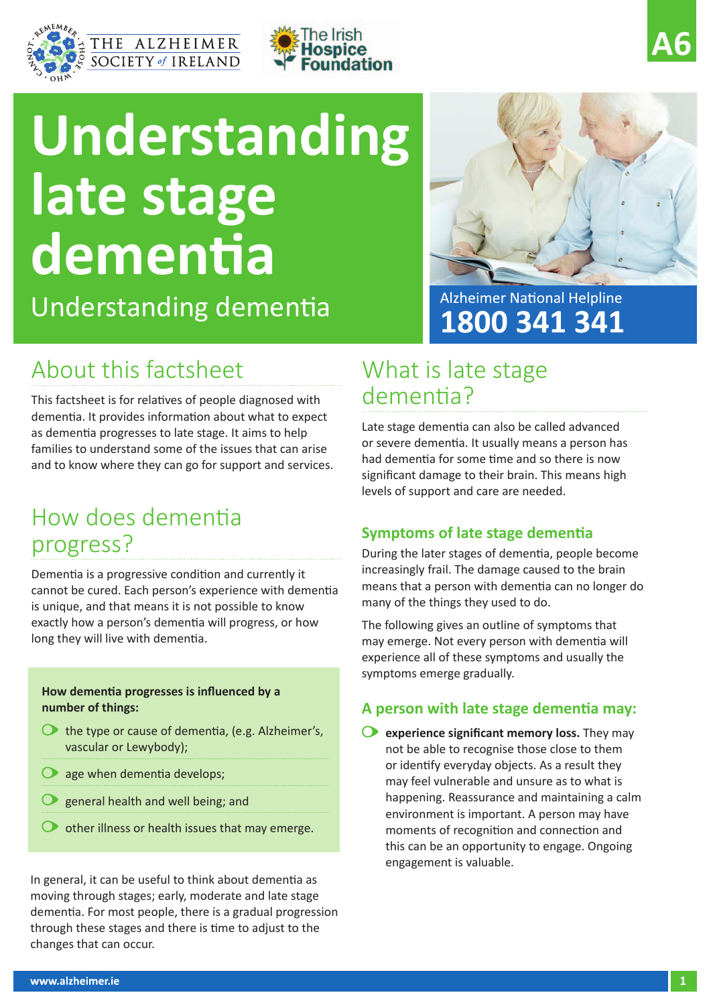



# **Understanding late stage dementia**

Understanding dementia



**A6**

**Alzheimer National Helpline** 1800 341 341

### About this factsheet

This factsheet is for relatives of people diagnosed with dementia. It provides information about what to expect as dementia progresses to late stage. It aims to help families to understand some of the issues that can arise and to know where they can go for support and services.

### How does dementia progress?

Dementia is a progressive condition and currently it cannot be cured. Each person's experience with dementia is unique, and that means it is not possible to know exactly how a person's dementia will progress, or how long they will live with dementia.

#### **How dementia progresses is influenced by a number of things:**

- $\bullet$  the type or cause of dementia, (e.g. Alzheimer's, vascular or Lewybody);
- $\bullet$  age when dementia develops;
- general health and well being; and
- $\bullet$  other illness or health issues that may emerge.

In general, it can be useful to think about dementia as moving through stages; early, moderate and late stage dementia. For most people, there is a gradual progression through these stages and there is time to adjust to the changes that can occur.

### What is late stage dementia?

Late stage dementia can also be called advanced or severe dementia. It usually means a person has had dementia for some time and so there is now significant damage to their brain. This means high levels of support and care are needed.

### **Symptoms of late stage dementia**

During the later stages of dementia, people become increasingly frail. The damage caused to the brain means that a person with dementia can no longer do many of the things they used to do.

The following gives an outline of symptoms that may emerge. Not every person with dementia will experience all of these symptoms and usually the symptoms emerge gradually.

### **A person with late stage dementia may:**

**experience significant memory loss.** They may not be able to recognise those close to them or identify everyday objects. As a result they may feel vulnerable and unsure as to what is happening. Reassurance and maintaining a calm environment is important. A person may have moments of recognition and connection and this can be an opportunity to engage. Ongoing engagement is valuable.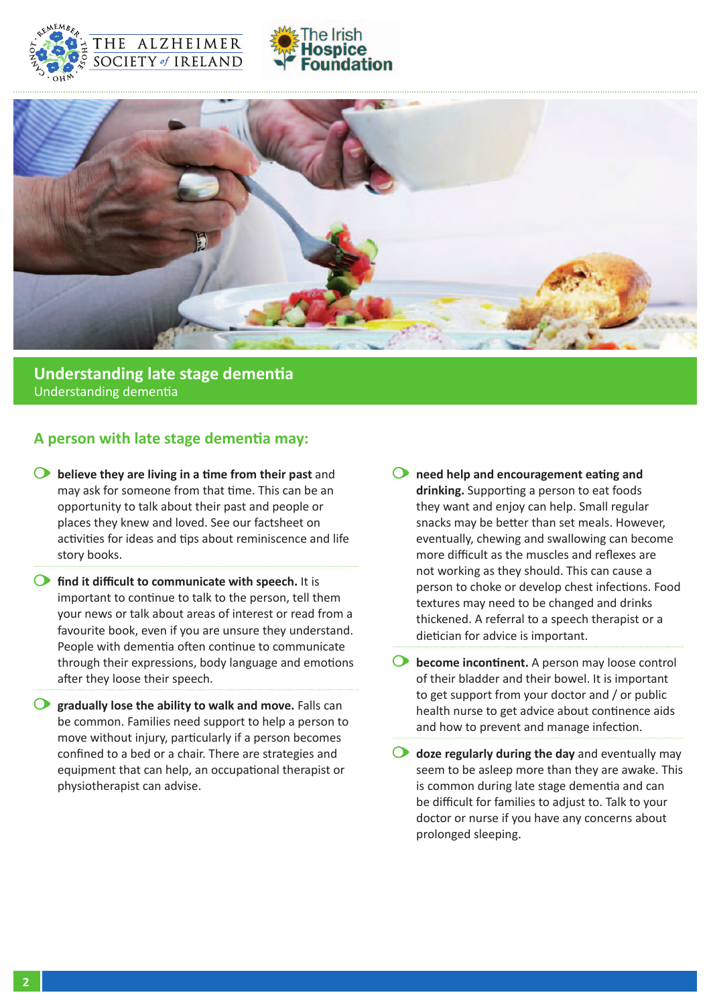





#### **A person with late stage dementia may:**

- **believe they are living in a time from their past** and may ask for someone from that time. This can be an opportunity to talk about their past and people or places they knew and loved. See our factsheet on activities for ideas and tips about reminiscence and life story books.
- **find it difficult to communicate with speech.** It is important to continue to talk to the person, tell them your news or talk about areas of interest or read from a favourite book, even if you are unsure they understand. People with dementia often continue to communicate through their expressions, body language and emotions after they loose their speech.
- **G** gradually lose the ability to walk and move. Falls can be common. Families need support to help a person to move without injury, particularly if a person becomes confined to a bed or a chair. There are strategies and equipment that can help, an occupational therapist or physiotherapist can advise.
- **need help and encouragement eating and drinking.** Supporting a person to eat foods they want and enjoy can help. Small regular snacks may be better than set meals. However, eventually, chewing and swallowing can become more difficult as the muscles and reflexes are not working as they should. This can cause a person to choke or develop chest infections. Food textures may need to be changed and drinks thickened. A referral to a speech therapist or a dietician for advice is important.
- **become incontinent.** A person may loose control of their bladder and their bowel. It is important to get support from your doctor and / or public health nurse to get advice about continence aids and how to prevent and manage infection.
- **doze regularly during the day** and eventually may seem to be asleep more than they are awake. This is common during late stage dementia and can be difficult for families to adjust to. Talk to your doctor or nurse if you have any concerns about prolonged sleeping.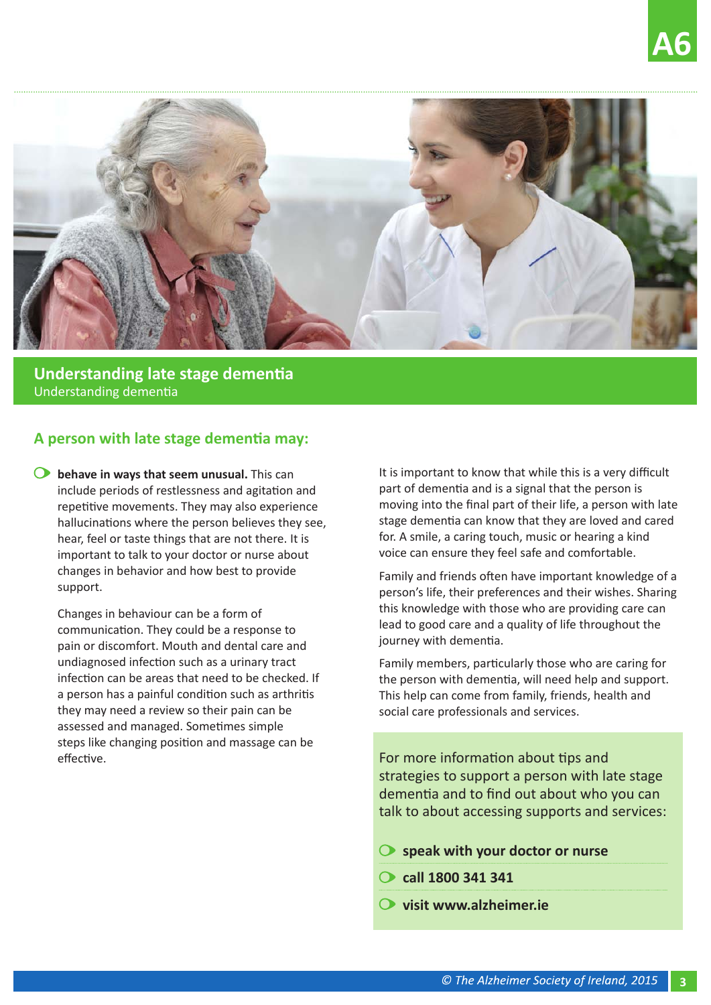

#### **A person with late stage dementia may:**

**behave in ways that seem unusual.** This can include periods of restlessness and agitation and repetitive movements. They may also experience hallucinations where the person believes they see, hear, feel or taste things that are not there. It is important to talk to your doctor or nurse about changes in behavior and how best to provide support.

Changes in behaviour can be a form of communication. They could be a response to pain or discomfort. Mouth and dental care and undiagnosed infection such as a urinary tract infection can be areas that need to be checked. If a person has a painful condition such as arthritis they may need a review so their pain can be assessed and managed. Sometimes simple steps like changing position and massage can be effective. **For more information about tips and** 

It is important to know that while this is a very difficult part of dementia and is a signal that the person is moving into the final part of their life, a person with late stage dementia can know that they are loved and cared for. A smile, a caring touch, music or hearing a kind voice can ensure they feel safe and comfortable.

Family and friends often have important knowledge of a person's life, their preferences and their wishes. Sharing this knowledge with those who are providing care can lead to good care and a quality of life throughout the journey with dementia.

Family members, particularly those who are caring for the person with dementia, will need help and support. This help can come from family, friends, health and social care professionals and services.

strategies to support a person with late stage dementia and to find out about who you can talk to about accessing supports and services:

- **speak with your doctor or nurse**
- **call 1800 341 341**
- **visit www.alzheimer.ie**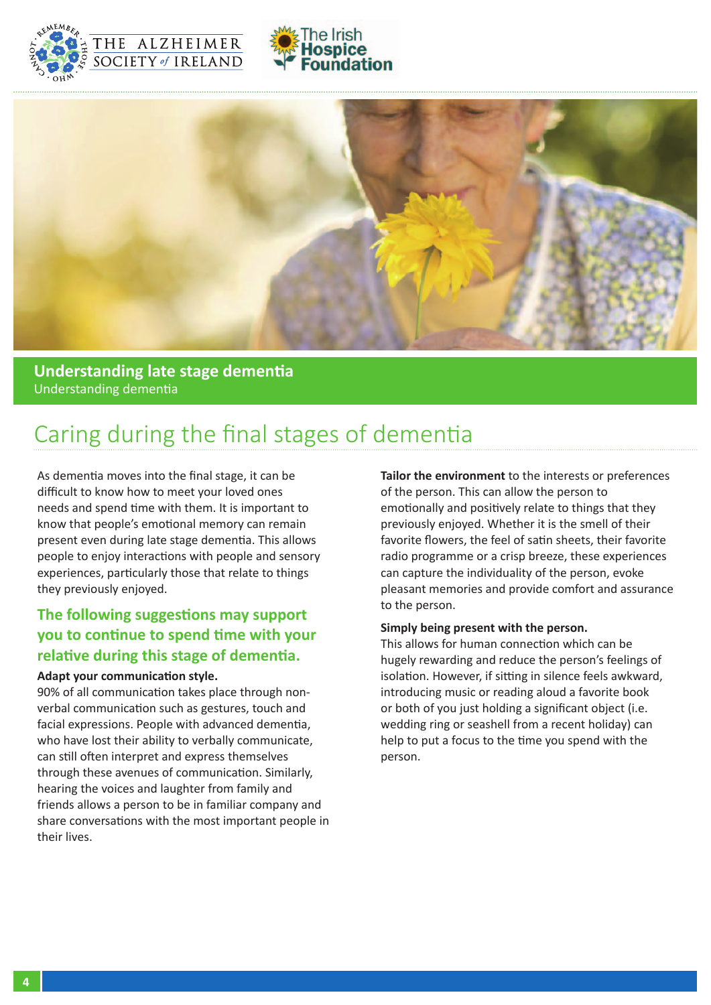





### Caring during the final stages of dementia

As dementia moves into the final stage, it can be difficult to know how to meet your loved ones needs and spend time with them. It is important to know that people's emotional memory can remain present even during late stage dementia. This allows people to enjoy interactions with people and sensory experiences, particularly those that relate to things they previously enjoyed.

### **The following suggestions may support you to continue to spend time with your relative during this stage of dementia.**

#### **Adapt your communication style.**

90% of all communication takes place through nonverbal communication such as gestures, touch and facial expressions. People with advanced dementia, who have lost their ability to verbally communicate, can still often interpret and express themselves through these avenues of communication. Similarly, hearing the voices and laughter from family and friends allows a person to be in familiar company and share conversations with the most important people in their lives.

**Tailor the environment** to the interests or preferences of the person. This can allow the person to emotionally and positively relate to things that they previously enjoyed. Whether it is the smell of their favorite flowers, the feel of satin sheets, their favorite radio programme or a crisp breeze, these experiences can capture the individuality of the person, evoke pleasant memories and provide comfort and assurance to the person.

#### **Simply being present with the person.**

This allows for human connection which can be hugely rewarding and reduce the person's feelings of isolation. However, if sitting in silence feels awkward, introducing music or reading aloud a favorite book or both of you just holding a significant object (i.e. wedding ring or seashell from a recent holiday) can help to put a focus to the time you spend with the person.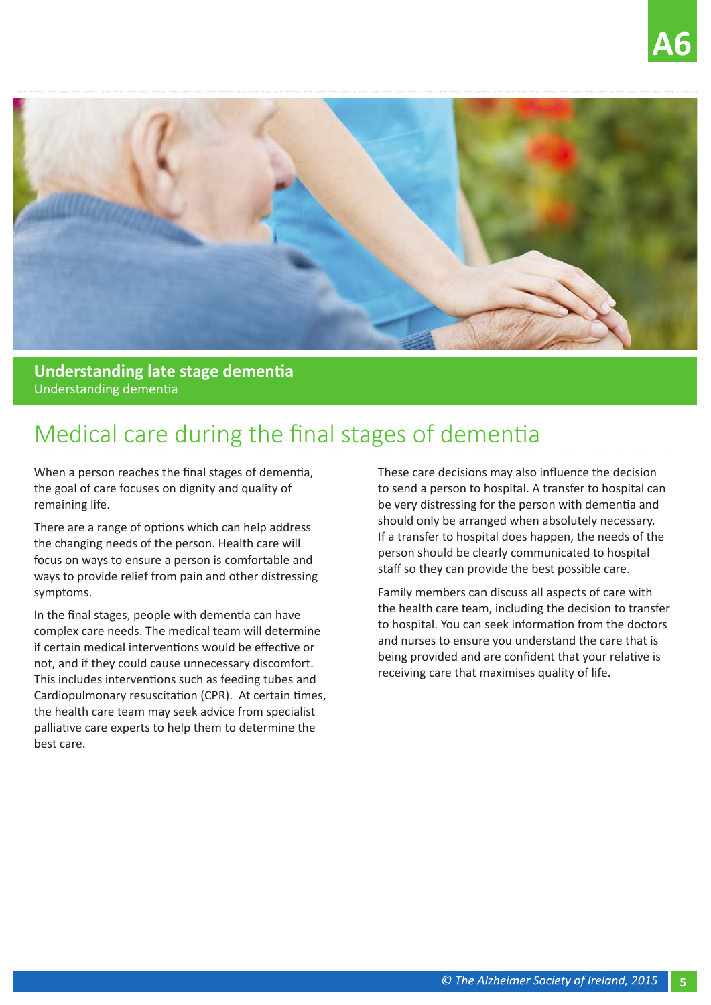

## Medical care during the final stages of dementia

When a person reaches the final stages of dementia, the goal of care focuses on dignity and quality of remaining life.

There are a range of options which can help address the changing needs of the person. Health care will focus on ways to ensure a person is comfortable and ways to provide relief from pain and other distressing symptoms.

In the final stages, people with dementia can have complex care needs. The medical team will determine if certain medical interventions would be effective or not, and if they could cause unnecessary discomfort. This includes interventions such as feeding tubes and Cardiopulmonary resuscitation (CPR). At certain times, the health care team may seek advice from specialist palliative care experts to help them to determine the best care.

These care decisions may also influence the decision to send a person to hospital. A transfer to hospital can be very distressing for the person with dementia and should only be arranged when absolutely necessary. If a transfer to hospital does happen, the needs of the person should be clearly communicated to hospital staff so they can provide the best possible care.

Family members can discuss all aspects of care with the health care team, including the decision to transfer to hospital. You can seek information from the doctors and nurses to ensure you understand the care that is being provided and are confident that your relative is receiving care that maximises quality of life.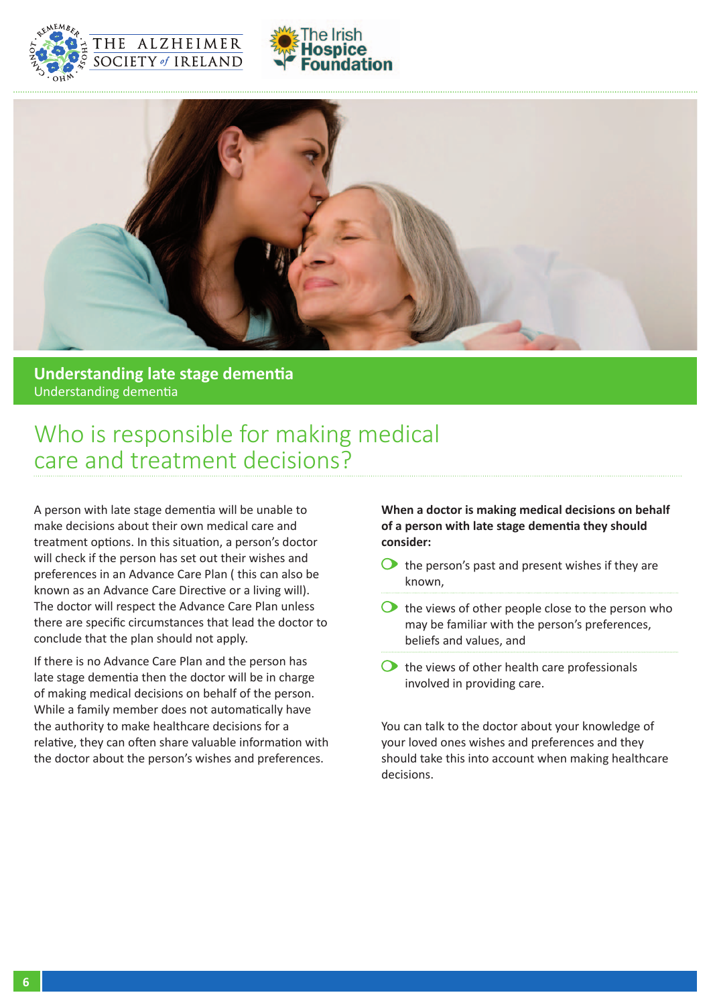





### Who is responsible for making medical care and treatment decisions?

A person with late stage dementia will be unable to make decisions about their own medical care and treatment options. In this situation, a person's doctor will check if the person has set out their wishes and preferences in an Advance Care Plan ( this can also be known as an Advance Care Directive or a living will). The doctor will respect the Advance Care Plan unless there are specific circumstances that lead the doctor to conclude that the plan should not apply.

If there is no Advance Care Plan and the person has late stage dementia then the doctor will be in charge of making medical decisions on behalf of the person. While a family member does not automatically have the authority to make healthcare decisions for a relative, they can often share valuable information with the doctor about the person's wishes and preferences.

**When a doctor is making medical decisions on behalf of a person with late stage dementia they should consider:**

- $\bullet$  the person's past and present wishes if they are known,
- $\bullet$  the views of other people close to the person who may be familiar with the person's preferences, beliefs and values, and
- $\bullet$  the views of other health care professionals involved in providing care.

You can talk to the doctor about your knowledge of your loved ones wishes and preferences and they should take this into account when making healthcare decisions.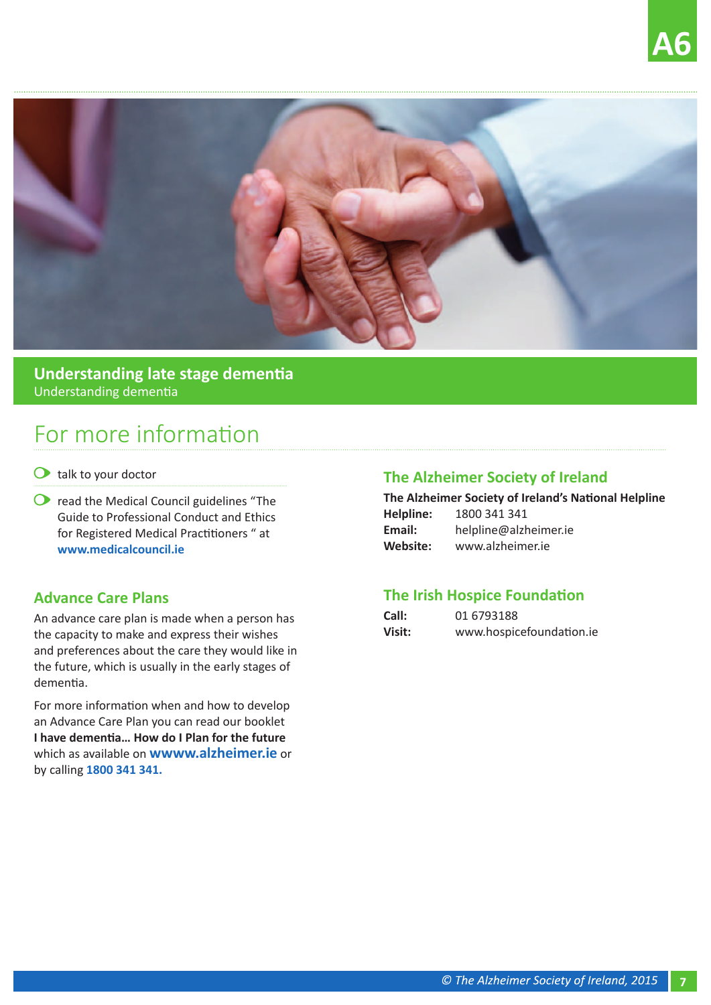

### For more information

- $\bullet$  talk to your doctor
- **O** read the Medical Council guidelines "The Guide to Professional Conduct and Ethics for Registered Medical Practitioners " at **www.medicalcouncil.ie**

#### **Advance Care Plans**

An advance care plan is made when a person has the capacity to make and express their wishes and preferences about the care they would like in the future, which is usually in the early stages of dementia.

For more information when and how to develop an Advance Care Plan you can read our booklet **I have dementia… How do I Plan for the future**  which as available on **wwww.alzheimer.ie** or by calling **1800 341 341.**

#### **The Alzheimer Society of Ireland**

| The Alzheimer Society of Ireland's National Helpline |                       |  |  |  |
|------------------------------------------------------|-----------------------|--|--|--|
| Helpline:                                            | 1800 341 341          |  |  |  |
| Email:                                               | helpline@alzheimer.ie |  |  |  |
| Website:                                             | www.alzheimer.ie      |  |  |  |

#### **The Irish Hospice Foundation**

| Call:  | 01 6793188               |
|--------|--------------------------|
| Visit: | www.hospicefoundation.ie |